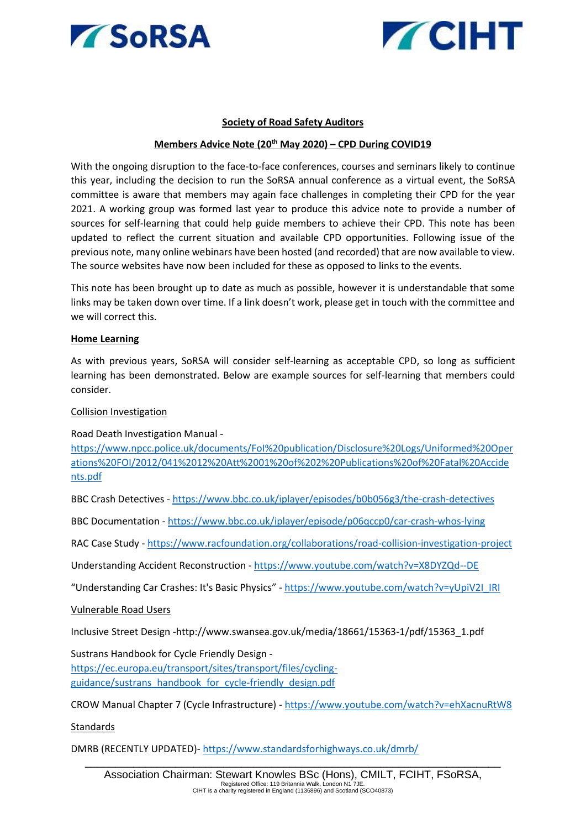



## **Society of Road Safety Auditors**

## **Members Advice Note (20th May 2020) – CPD During COVID19**

With the ongoing disruption to the face-to-face conferences, courses and seminars likely to continue this year, including the decision to run the SoRSA annual conference as a virtual event, the SoRSA committee is aware that members may again face challenges in completing their CPD for the year 2021. A working group was formed last year to produce this advice note to provide a number of sources for self-learning that could help guide members to achieve their CPD. This note has been updated to reflect the current situation and available CPD opportunities. Following issue of the previous note, many online webinars have been hosted (and recorded) that are now available to view. The source websites have now been included for these as opposed to links to the events.

This note has been brought up to date as much as possible, however it is understandable that some links may be taken down over time. If a link doesn't work, please get in touch with the committee and we will correct this.

#### **Home Learning**

As with previous years, SoRSA will consider self-learning as acceptable CPD, so long as sufficient learning has been demonstrated. Below are example sources for self-learning that members could consider.

#### Collision Investigation

Road Death Investigation Manual -

[https://www.npcc.police.uk/documents/FoI%20publication/Disclosure%20Logs/Uniformed%20Oper](https://www.npcc.police.uk/documents/FoI%20publication/Disclosure%20Logs/Uniformed%20Operations%20FOI/2012/041%2012%20Att%2001%20of%202%20Publications%20of%20Fatal%20Accidents.pdf) [ations%20FOI/2012/041%2012%20Att%2001%20of%202%20Publications%20of%20Fatal%20Accide](https://www.npcc.police.uk/documents/FoI%20publication/Disclosure%20Logs/Uniformed%20Operations%20FOI/2012/041%2012%20Att%2001%20of%202%20Publications%20of%20Fatal%20Accidents.pdf) [nts.pdf](https://www.npcc.police.uk/documents/FoI%20publication/Disclosure%20Logs/Uniformed%20Operations%20FOI/2012/041%2012%20Att%2001%20of%202%20Publications%20of%20Fatal%20Accidents.pdf)

BBC Crash Detectives - <https://www.bbc.co.uk/iplayer/episodes/b0b056g3/the-crash-detectives>

BBC Documentation - <https://www.bbc.co.uk/iplayer/episode/p06qccp0/car-crash-whos-lying>

RAC Case Study - <https://www.racfoundation.org/collaborations/road-collision-investigation-project>

Understanding Accident Reconstruction - <https://www.youtube.com/watch?v=X8DYZQd--DE>

"Understanding Car Crashes: It's Basic Physics" - [https://www.youtube.com/watch?v=yUpiV2I\\_IRI](https://www.youtube.com/watch?v=yUpiV2I_IRI)

#### Vulnerable Road Users

Inclusive Street Design -http://www.swansea.gov.uk/media/18661/15363-1/pdf/15363\_1.pdf

Sustrans Handbook for Cycle Friendly Design [https://ec.europa.eu/transport/sites/transport/files/cycling](https://ec.europa.eu/transport/sites/transport/files/cycling-guidance/sustrans_handbook_for_cycle-friendly_design.pdf)[guidance/sustrans\\_handbook\\_for\\_cycle-friendly\\_design.pdf](https://ec.europa.eu/transport/sites/transport/files/cycling-guidance/sustrans_handbook_for_cycle-friendly_design.pdf)

CROW Manual Chapter 7 (Cycle Infrastructure) - <https://www.youtube.com/watch?v=ehXacnuRtW8>

Standards

DMRB (RECENTLY UPDATED)- <https://www.standardsforhighways.co.uk/dmrb/>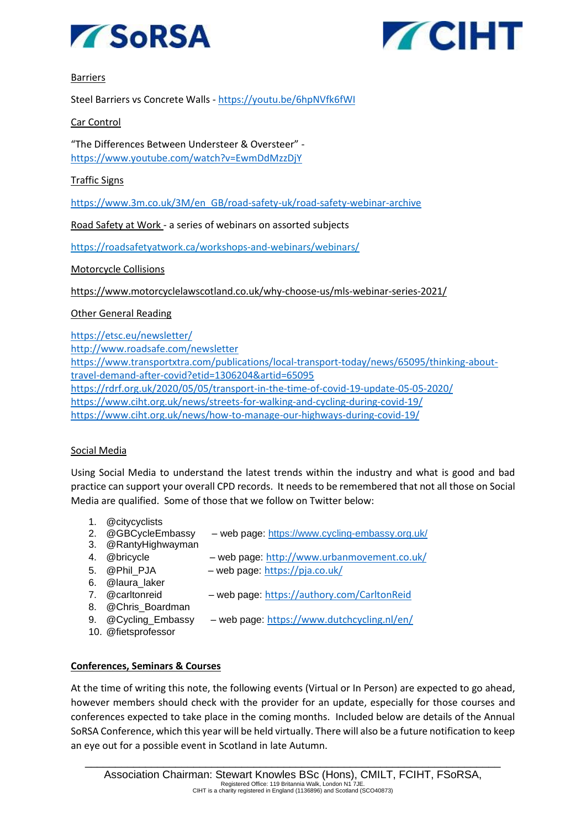



## Barriers

Steel Barriers vs Concrete Walls - <https://youtu.be/6hpNVfk6fWI>

Car Control

"The Differences Between Understeer & Oversteer" <https://www.youtube.com/watch?v=EwmDdMzzDjY>

# Traffic Signs

[https://www.3m.co.uk/3M/en\\_GB/road-safety-uk/road-safety-webinar-archive](https://www.3m.co.uk/3M/en_GB/road-safety-uk/road-safety-webinar-archive)

Road Safety at Work - a series of webinars on assorted subjects

https://roadsafetyatwork.ca/workshops-and-webinars/webinars/

Motorcycle Collisions

https://www.motorcyclelawscotland.co.uk/why-choose-us/mls-webinar-series-2021/

Other General Reading

<https://etsc.eu/newsletter/> <http://www.roadsafe.com/newsletter> [https://www.transportxtra.com/publications/local-transport-today/news/65095/thinking-about](https://www.transportxtra.com/publications/local-transport-today/news/65095/thinking-about-travel-demand-after-covid?etid=1306204&artid=65095)[travel-demand-after-covid?etid=1306204&artid=65095](https://www.transportxtra.com/publications/local-transport-today/news/65095/thinking-about-travel-demand-after-covid?etid=1306204&artid=65095) <https://rdrf.org.uk/2020/05/05/transport-in-the-time-of-covid-19-update-05-05-2020/> <https://www.ciht.org.uk/news/streets-for-walking-and-cycling-during-covid-19/> <https://www.ciht.org.uk/news/how-to-manage-our-highways-during-covid-19/>

# Social Media

Using Social Media to understand the latest trends within the industry and what is good and bad practice can support your overall CPD records. It needs to be remembered that not all those on Social Media are qualified. Some of those that we follow on Twitter below:

- 1. @citycyclists
- 2. @GBCycleEmbassy web page:<https://www.cycling-embassy.org.uk/>
- 3. @RantyHighwayman<br>4. @bricycle
- web page: <http://www.urbanmovement.co.uk/>
- 5. @Phil\_PJA web page: <https://pja.co.uk/>
- 6. @laura\_laker
- 7. @carltonreid web page: <https://authory.com/CarltonReid>
- 8. @Chris\_Boardman
- 9. @Cycling Embassy web page: <https://www.dutchcycling.nl/en/>
- 10. @fietsprofessor

## **Conferences, Seminars & Courses**

At the time of writing this note, the following events (Virtual or In Person) are expected to go ahead, however members should check with the provider for an update, especially for those courses and conferences expected to take place in the coming months. Included below are details of the Annual SoRSA Conference, which this year will be held virtually. There will also be a future notification to keep an eye out for a possible event in Scotland in late Autumn.

\_\_\_\_\_\_\_\_\_\_\_\_\_\_\_\_\_\_\_\_\_\_\_\_\_\_\_\_\_\_\_\_\_\_\_\_\_\_\_\_\_\_\_\_\_\_\_\_\_\_\_\_\_\_\_\_\_\_\_\_\_\_\_\_\_\_\_\_\_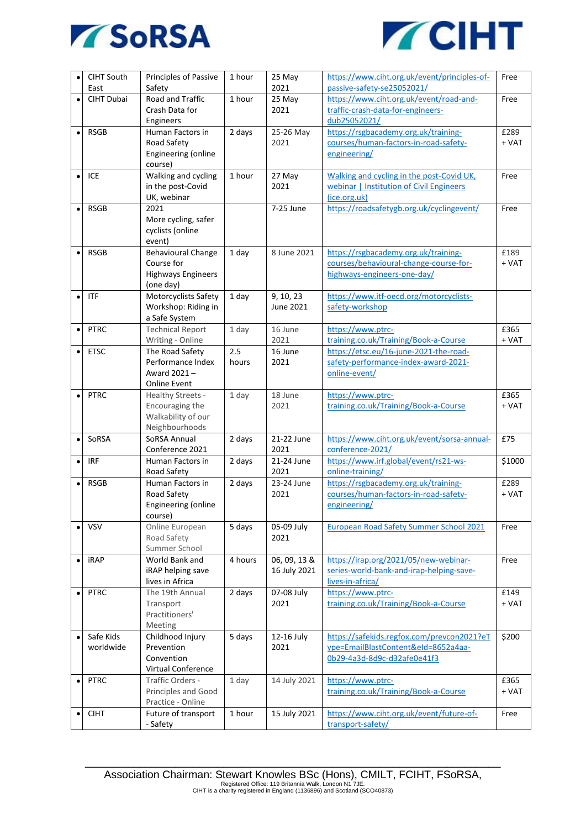



|           | <b>CIHT South</b>  | Principles of Passive<br>Safety          | 1 hour       | 25 May<br>2021               | https://www.ciht.org.uk/event/principles-of-<br>Free<br>passive-safety-se25052021/ |         |
|-----------|--------------------|------------------------------------------|--------------|------------------------------|------------------------------------------------------------------------------------|---------|
|           | East<br>CIHT Dubai | Road and Traffic                         | 1 hour       | 25 May                       | https://www.ciht.org.uk/event/road-and-                                            | Free    |
|           |                    | Crash Data for                           |              | 2021                         | traffic-crash-data-for-engineers-                                                  |         |
|           |                    | Engineers                                |              |                              | dub25052021/                                                                       |         |
|           | <b>RSGB</b>        | Human Factors in                         | 2 days       | 25-26 May                    | https://rsgbacademy.org.uk/training-                                               | £289    |
|           |                    | Road Safety                              |              | 2021                         | courses/human-factors-in-road-safety-                                              | + VAT   |
|           |                    | Engineering (online                      |              |                              | engineering/                                                                       |         |
|           |                    | course)                                  |              |                              |                                                                                    |         |
|           | ICE                | Walking and cycling                      | 1 hour       | 27 May                       | Walking and cycling in the post-Covid UK,                                          | Free    |
|           |                    | in the post-Covid                        |              | 2021                         | webinar   Institution of Civil Engineers                                           |         |
|           |                    | UK, webinar                              |              |                              | (ice.org.uk)                                                                       |         |
|           | <b>RSGB</b>        | 2021                                     |              | 7-25 June                    | https://roadsafetygb.org.uk/cyclingevent/                                          | Free    |
|           |                    | More cycling, safer                      |              |                              |                                                                                    |         |
|           |                    | cyclists (online<br>event)               |              |                              |                                                                                    |         |
|           | <b>RSGB</b>        | <b>Behavioural Change</b>                | 1 day        | 8 June 2021                  | https://rsgbacademy.org.uk/training-                                               | £189    |
|           |                    | Course for                               |              |                              | courses/behavioural-change-course-for-                                             | + VAT   |
|           |                    | <b>Highways Engineers</b>                |              |                              | highways-engineers-one-day/                                                        |         |
|           |                    | (one day)                                |              |                              |                                                                                    |         |
|           | <b>ITF</b>         | Motorcyclists Safety                     | 1 day        | 9, 10, 23                    | https://www.itf-oecd.org/motorcyclists-                                            |         |
|           |                    | Workshop: Riding in                      |              | June 2021                    | safety-workshop                                                                    |         |
|           |                    | a Safe System                            |              |                              |                                                                                    |         |
| $\bullet$ | <b>PTRC</b>        | <b>Technical Report</b>                  | 1 day        | 16 June                      | https://www.ptrc-                                                                  | £365    |
|           |                    | Writing - Online                         |              | 2021                         | training.co.uk/Training/Book-a-Course                                              | $+ VAT$ |
| $\bullet$ | <b>ETSC</b>        | The Road Safety<br>Performance Index     | 2.5<br>hours | 16 June<br>2021              | https://etsc.eu/16-june-2021-the-road-<br>safety-performance-index-award-2021-     |         |
|           |                    | Award 2021-                              |              |                              | online-event/                                                                      |         |
|           |                    | Online Event                             |              |                              |                                                                                    |         |
|           | <b>PTRC</b>        | Healthy Streets -                        | 1 day        | 18 June                      | https://www.ptrc-                                                                  | £365    |
|           |                    | Encouraging the                          |              | 2021                         | training.co.uk/Training/Book-a-Course                                              | + VAT   |
|           |                    | Walkability of our                       |              |                              |                                                                                    |         |
|           |                    | Neighbourhoods                           |              |                              |                                                                                    |         |
|           | SoRSA              | SoRSA Annual                             | 2 days       | 21-22 June                   | https://www.ciht.org.uk/event/sorsa-annual-                                        | £75     |
|           |                    | Conference 2021<br>Human Factors in      |              | 2021                         | conference-2021/                                                                   |         |
|           | <b>IRF</b>         | Road Safety                              | 2 days       | 21-24 June<br>2021           | https://www.irf.global/event/rs21-ws-<br>online-training/                          | \$1000  |
|           | <b>RSGB</b>        | Human Factors in                         | 2 days       | 23-24 June                   | https://rsgbacademy.org.uk/training-                                               | £289    |
|           |                    | Road Safety                              |              | 2021                         | courses/human-factors-in-road-safety-                                              | $+ VAT$ |
|           |                    | Engineering (online                      |              |                              | engineering/                                                                       |         |
|           |                    | course)                                  |              |                              |                                                                                    |         |
|           | <b>VSV</b>         | Online European                          | 5 days       | 05-09 July                   | <b>European Road Safety Summer School 2021</b>                                     | Free    |
|           |                    | Road Safety                              |              | 2021                         |                                                                                    |         |
|           |                    | Summer School                            |              |                              |                                                                                    |         |
|           | iRAP               | World Bank and<br>iRAP helping save      | 4 hours      | 06, 09, 13 &<br>16 July 2021 | https://irap.org/2021/05/new-webinar-<br>series-world-bank-and-irap-helping-save-  | Free    |
|           |                    | lives in Africa                          |              |                              | lives-in-africa/                                                                   |         |
|           | <b>PTRC</b>        | The 19th Annual                          | 2 days       | 07-08 July                   | https://www.ptrc-                                                                  | £149    |
|           |                    | Transport                                |              | 2021                         | training.co.uk/Training/Book-a-Course                                              | + VAT   |
|           |                    | Practitioners'                           |              |                              |                                                                                    |         |
|           |                    | Meeting                                  |              |                              |                                                                                    |         |
|           | Safe Kids          | Childhood Injury                         | 5 days       | 12-16 July                   | https://safekids.regfox.com/prevcon2021?eT                                         | \$200   |
|           | worldwide          | Prevention                               |              | 2021                         | ype=EmailBlastContent&eld=8652a4aa-                                                |         |
|           |                    | Convention                               |              |                              | 0b29-4a3d-8d9c-d32afe0e41f3                                                        |         |
|           |                    | Virtual Conference                       |              |                              |                                                                                    |         |
|           | <b>PTRC</b>        | Traffic Orders -                         | 1 day        | 14 July 2021                 | https://www.ptrc-                                                                  | £365    |
|           |                    | Principles and Good<br>Practice - Online |              |                              | training.co.uk/Training/Book-a-Course                                              | + VAT   |
|           | <b>CIHT</b>        | Future of transport                      | 1 hour       | 15 July 2021                 | https://www.ciht.org.uk/event/future-of-                                           | Free    |
|           |                    | - Safety                                 |              |                              | transport-safety/                                                                  |         |

\_\_\_\_\_\_\_\_\_\_\_\_\_\_\_\_\_\_\_\_\_\_\_\_\_\_\_\_\_\_\_\_\_\_\_\_\_\_\_\_\_\_\_\_\_\_\_\_\_\_\_\_\_\_\_\_\_\_\_\_\_\_\_\_\_\_\_\_\_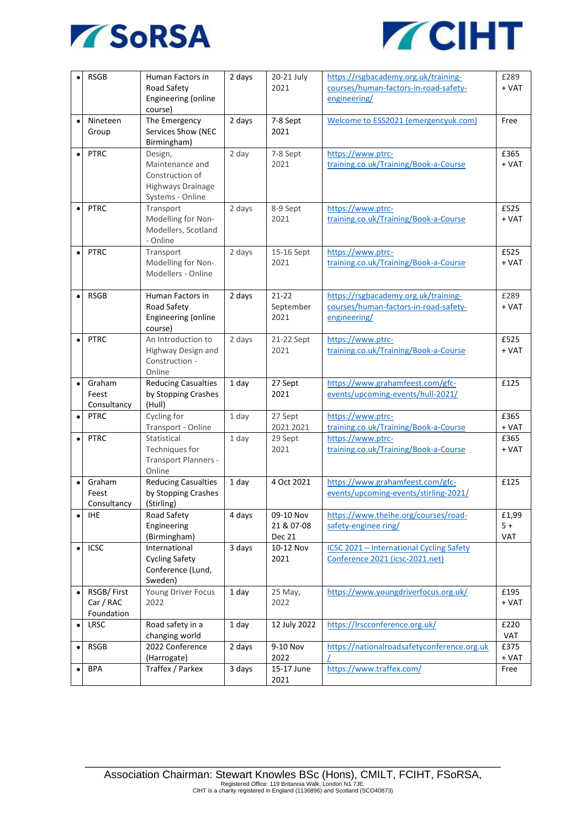



|           | <b>RSGB</b>                           | Human Factors in<br>Road Safety<br>Engineering (online<br>course)                      | 2 days | 20-21 July<br>2021                | https://rsgbacademy.org.uk/training-<br>courses/human-factors-in-road-safety-<br>engineering/ | £289<br>+ VAT        |
|-----------|---------------------------------------|----------------------------------------------------------------------------------------|--------|-----------------------------------|-----------------------------------------------------------------------------------------------|----------------------|
|           | Nineteen<br>Group                     | The Emergency<br>Services Show (NEC<br>Birmingham)                                     | 2 days | 7-8 Sept<br>2021                  | Welcome to ESS2021 (emergencyuk.com)                                                          | Free                 |
|           | <b>PTRC</b>                           | Design,<br>Maintenance and<br>Construction of<br>Highways Drainage<br>Systems - Online | 2 day  | 7-8 Sept<br>2021                  | https://www.ptrc-<br>training.co.uk/Training/Book-a-Course                                    | £365<br>+ VAT        |
|           | <b>PTRC</b>                           | Transport<br>Modelling for Non-<br>Modellers, Scotland<br>- Online                     | 2 days | 8-9 Sept<br>2021                  | https://www.ptrc-<br>training.co.uk/Training/Book-a-Course                                    | £525<br>+ VAT        |
|           | <b>PTRC</b>                           | Transport<br>Modelling for Non-<br>Modellers - Online                                  | 2 days | 15-16 Sept<br>2021                | https://www.ptrc-<br>training.co.uk/Training/Book-a-Course                                    | £525<br>+ VAT        |
|           | <b>RSGB</b>                           | Human Factors in<br>Road Safety<br>Engineering (online<br>course)                      | 2 days | $21 - 22$<br>September<br>2021    | https://rsgbacademy.org.uk/training-<br>courses/human-factors-in-road-safety-<br>engineering/ | £289<br>+ VAT        |
|           | <b>PTRC</b>                           | An Introduction to<br>Highway Design and<br>Construction -<br>Online                   | 2 days | 21-22 Sept<br>2021                | https://www.ptrc-<br>training.co.uk/Training/Book-a-Course                                    | £525<br>$+ VAT$      |
|           | Graham<br>Feest<br>Consultancy        | <b>Reducing Casualties</b><br>by Stopping Crashes<br>(Hull)                            | 1 day  | $\overline{27}$ Sept<br>2021      | https://www.grahamfeest.com/gfc-<br>events/upcoming-events/hull-2021/                         | £125                 |
|           | <b>PTRC</b>                           | Cycling for<br>Transport - Online                                                      | 1 day  | 27 Sept<br>2021 2021              | https://www.ptrc-<br>training.co.uk/Training/Book-a-Course                                    | £365<br>+ VAT        |
|           | <b>PTRC</b>                           | Statistical<br>Techniques for<br>Transport Planners -<br>Online                        | 1 day  | 29 Sept<br>2021                   | https://www.ptrc-<br>training.co.uk/Training/Book-a-Course                                    | £365<br>+ VAT        |
|           | Graham<br>Feest<br>Consultancy        | <b>Reducing Casualties</b><br>by Stopping Crashes<br>(Stirling)                        | 1 day  | 4 Oct 2021                        | https://www.grahamfeest.com/gfc-<br>events/upcoming-events/stirling-2021/                     | £125                 |
|           | <b>IHE</b>                            | Road Safety<br>Engineering<br>(Birmingham)                                             | 4 days | 09-10 Nov<br>21 & 07-08<br>Dec 21 | https://www.theihe.org/courses/road-<br>safety-enginee ring/                                  | £1,99<br>$5+$<br>VAT |
|           | <b>ICSC</b>                           | International<br><b>Cycling Safety</b><br>Conference (Lund,<br>Sweden)                 | 3 days | 10-12 Nov<br>2021                 | ICSC 2021 - International Cycling Safety<br>Conference 2021 (icsc-2021.net)                   |                      |
|           | RSGB/First<br>Car / RAC<br>Foundation | Young Driver Focus<br>2022                                                             | 1 day  | 25 May,<br>2022                   | https://www.youngdriverfocus.org.uk/                                                          | £195<br>$+ VAT$      |
|           | LRSC                                  | Road safety in a<br>changing world                                                     | 1 day  | 12 July 2022                      | https://Irscconference.org.uk/                                                                | £220<br>VAT          |
| $\bullet$ | <b>RSGB</b>                           | 2022 Conference<br>(Harrogate)                                                         | 2 days | 9-10 Nov<br>2022                  | https://nationalroadsafetyconference.org.uk                                                   | £375<br>+ VAT        |
|           | <b>BPA</b>                            | Traffex / Parkex                                                                       | 3 days | 15-17 June<br>2021                | https://www.traffex.com/                                                                      | Free                 |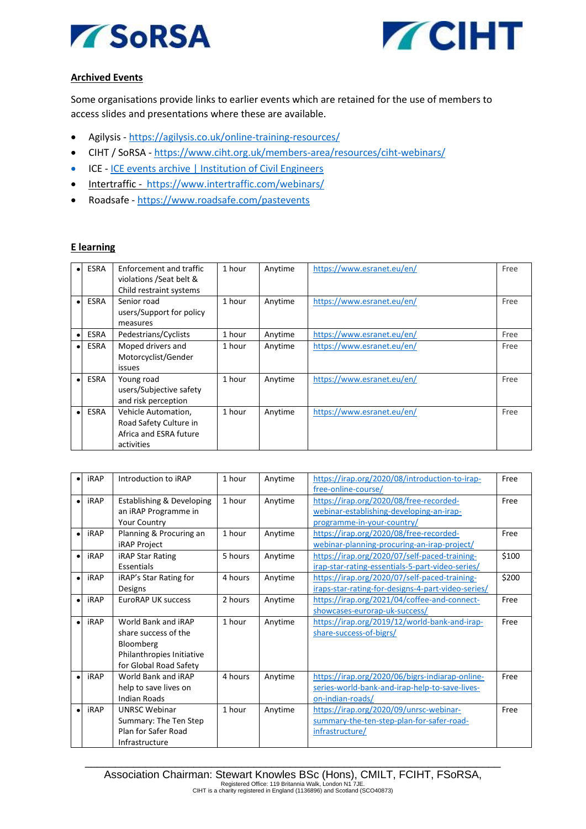



# **Archived Events**

Some organisations provide links to earlier events which are retained for the use of members to access slides and presentations where these are available.

- Agilysis <https://agilysis.co.uk/online-training-resources/>
- CIHT / SoRSA <https://www.ciht.org.uk/members-area/resources/ciht-webinars/>
- ICE [ICE events archive | Institution of Civil Engineers](https://www.ice.org.uk/eventarchive?online=true)
- Intertraffic <https://www.intertraffic.com/webinars/>
- Roadsafe <https://www.roadsafe.com/pastevents>

#### **E learning**

| <b>ESRA</b> | Enforcement and traffic<br>violations / Seat belt &<br>Child restraint systems        | 1 hour | Anytime | https://www.esranet.eu/en/ | Free |
|-------------|---------------------------------------------------------------------------------------|--------|---------|----------------------------|------|
| <b>ESRA</b> | Senior road<br>users/Support for policy<br>measures                                   | 1 hour | Anytime | https://www.esranet.eu/en/ | Free |
| <b>ESRA</b> | Pedestrians/Cyclists                                                                  | 1 hour | Anytime | https://www.esranet.eu/en/ | Free |
| <b>ESRA</b> | Moped drivers and<br>Motorcyclist/Gender<br>issues                                    | 1 hour | Anytime | https://www.esranet.eu/en/ | Free |
| <b>ESRA</b> | Young road<br>users/Subjective safety<br>and risk perception                          | 1 hour | Anytime | https://www.esranet.eu/en/ | Free |
| <b>ESRA</b> | Vehicle Automation,<br>Road Safety Culture in<br>Africa and ESRA future<br>activities | 1 hour | Anytime | https://www.esranet.eu/en/ | Free |

| iRAP        | Introduction to iRAP      | 1 hour  | Anytime | https://irap.org/2020/08/introduction-to-irap-     | Free  |
|-------------|---------------------------|---------|---------|----------------------------------------------------|-------|
|             |                           |         |         | free-online-course/                                |       |
| iRAP        | Establishing & Developing | 1 hour  | Anytime | https://irap.org/2020/08/free-recorded-            | Free  |
|             | an iRAP Programme in      |         |         | webinar-establishing-developing-an-irap-           |       |
|             | Your Country              |         |         | programme-in-your-country/                         |       |
| iRAP        | Planning & Procuring an   | 1 hour  | Anytime | https://irap.org/2020/08/free-recorded-            | Free  |
|             | <b>iRAP Project</b>       |         |         | webinar-planning-procuring-an-irap-project/        |       |
| <b>iRAP</b> | <b>iRAP Star Rating</b>   | 5 hours | Anytime | https://irap.org/2020/07/self-paced-training-      | \$100 |
|             | Essentials                |         |         | irap-star-rating-essentials-5-part-video-series/   |       |
| iRAP        | iRAP's Star Rating for    | 4 hours | Anytime | https://irap.org/2020/07/self-paced-training-      | \$200 |
|             | Designs                   |         |         | iraps-star-rating-for-designs-4-part-video-series/ |       |
| iRAP        | EuroRAP UK success        | 2 hours | Anytime | https://irap.org/2021/04/coffee-and-connect-       | Free  |
|             |                           |         |         | showcases-eurorap-uk-success/                      |       |
| <b>iRAP</b> | World Bank and iRAP       | 1 hour  | Anytime | https://irap.org/2019/12/world-bank-and-irap-      | Free  |
|             | share success of the      |         |         | share-success-of-bigrs/                            |       |
|             | Bloomberg                 |         |         |                                                    |       |
|             | Philanthropies Initiative |         |         |                                                    |       |
|             | for Global Road Safety    |         |         |                                                    |       |
| <b>iRAP</b> | World Bank and iRAP       | 4 hours | Anytime | https://irap.org/2020/06/bigrs-indiarap-online-    | Free  |
|             | help to save lives on     |         |         | series-world-bank-and-irap-help-to-save-lives-     |       |
|             | <b>Indian Roads</b>       |         |         | on-indian-roads/                                   |       |
| iRAP        | <b>UNRSC Webinar</b>      | 1 hour  | Anytime | https://irap.org/2020/09/unrsc-webinar-            | Free  |
|             | Summary: The Ten Step     |         |         | summary-the-ten-step-plan-for-safer-road-          |       |
|             | Plan for Safer Road       |         |         | infrastructure/                                    |       |
|             | Infrastructure            |         |         |                                                    |       |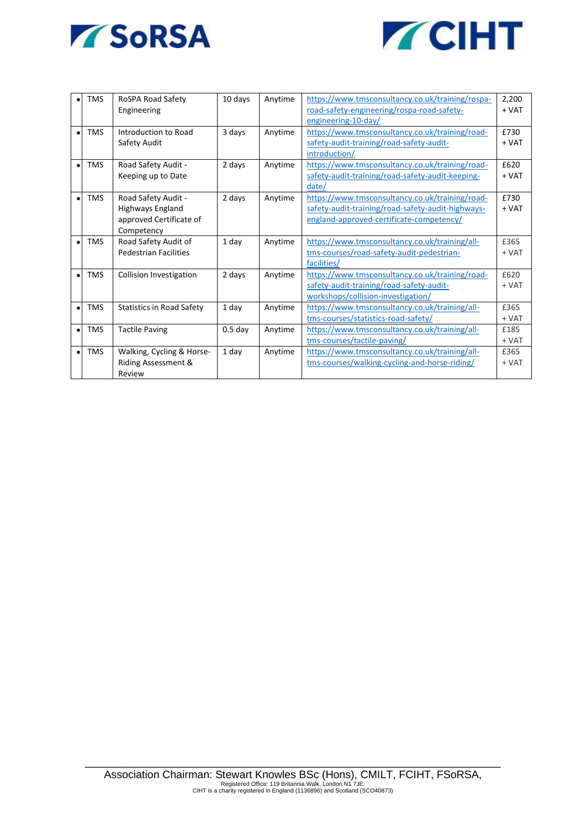



| <b>TMS</b> | RoSPA Road Safety                | 10 days   | Anytime | https://www.tmsconsultancy.co.uk/training/rospa-  | 2,200 |
|------------|----------------------------------|-----------|---------|---------------------------------------------------|-------|
|            | Engineering                      |           |         | road-safety-engineering/rospa-road-safety-        | + VAT |
|            |                                  |           |         | engineering-10-day/                               |       |
| <b>TMS</b> | Introduction to Road             | 3 days    | Anytime | https://www.tmsconsultancy.co.uk/training/road-   | £730  |
|            | Safety Audit                     |           |         | safety-audit-training/road-safety-audit-          | + VAT |
|            |                                  |           |         | introduction/                                     |       |
| <b>TMS</b> | Road Safety Audit -              | 2 days    | Anytime | https://www.tmsconsultancy.co.uk/training/road-   | £620  |
|            | Keeping up to Date               |           |         | safety-audit-training/road-safety-audit-keeping-  | + VAT |
|            |                                  |           |         | date/                                             |       |
| <b>TMS</b> | Road Safety Audit -              | 2 days    | Anytime | https://www.tmsconsultancy.co.uk/training/road-   | £730  |
|            | Highways England                 |           |         | safety-audit-training/road-safety-audit-highways- | + VAT |
|            | approved Certificate of          |           |         | england-approved-certificate-competency/          |       |
|            | Competency                       |           |         |                                                   |       |
| <b>TMS</b> | Road Safety Audit of             | $1$ day   |         |                                                   | £365  |
|            | <b>Pedestrian Facilities</b>     |           | Anytime | https://www.tmsconsultancy.co.uk/training/all-    |       |
|            |                                  |           |         | tms-courses/road-safety-audit-pedestrian-         | + VAT |
|            |                                  |           |         | facilities/                                       |       |
| <b>TMS</b> | Collision Investigation          | 2 days    | Anytime | https://www.tmsconsultancy.co.uk/training/road-   | £620  |
|            |                                  |           |         | safety-audit-training/road-safety-audit-          | + VAT |
|            |                                  |           |         | workshops/collision-investigation/                |       |
| <b>TMS</b> | <b>Statistics in Road Safety</b> | 1 day     | Anytime | https://www.tmsconsultancy.co.uk/training/all-    | £365  |
|            |                                  |           |         | tms-courses/statistics-road-safety/               | + VAT |
| <b>TMS</b> | <b>Tactile Paving</b>            | $0.5$ day | Anytime | https://www.tmsconsultancy.co.uk/training/all-    | £185  |
|            |                                  |           |         | tms-courses/tactile-paving/                       | + VAT |
| <b>TMS</b> | Walking, Cycling & Horse-        | $1$ day   | Anytime | https://www.tmsconsultancy.co.uk/training/all-    | £365  |
|            | Riding Assessment &              |           |         | tms-courses/walking-cycling-and-horse-riding/     | + VAT |
|            | Review                           |           |         |                                                   |       |

\_\_\_\_\_\_\_\_\_\_\_\_\_\_\_\_\_\_\_\_\_\_\_\_\_\_\_\_\_\_\_\_\_\_\_\_\_\_\_\_\_\_\_\_\_\_\_\_\_\_\_\_\_\_\_\_\_\_\_\_\_\_\_\_\_\_\_\_\_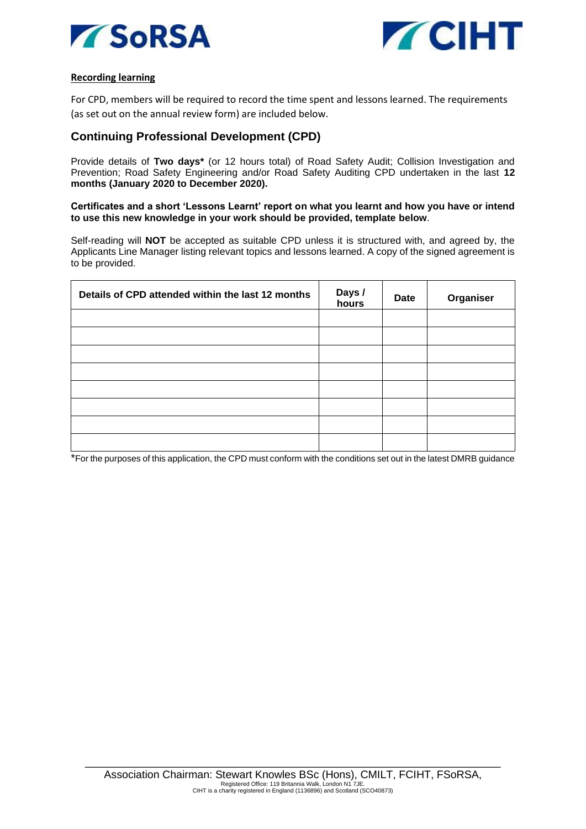



#### **Recording learning**

For CPD, members will be required to record the time spent and lessons learned. The requirements (as set out on the annual review form) are included below.

# **Continuing Professional Development (CPD)**

Provide details of **Two days\*** (or 12 hours total) of Road Safety Audit; Collision Investigation and Prevention; Road Safety Engineering and/or Road Safety Auditing CPD undertaken in the last **12 months (January 2020 to December 2020).**

#### **Certificates and a short 'Lessons Learnt' report on what you learnt and how you have or intend to use this new knowledge in your work should be provided, template below**.

Self-reading will **NOT** be accepted as suitable CPD unless it is structured with, and agreed by, the Applicants Line Manager listing relevant topics and lessons learned. A copy of the signed agreement is to be provided.

| Details of CPD attended within the last 12 months | Days /<br>hours | Date | Organiser |
|---------------------------------------------------|-----------------|------|-----------|
|                                                   |                 |      |           |
|                                                   |                 |      |           |
|                                                   |                 |      |           |
|                                                   |                 |      |           |
|                                                   |                 |      |           |
|                                                   |                 |      |           |
|                                                   |                 |      |           |
|                                                   |                 |      |           |

\*For the purposes of this application, the CPD must conform with the conditions set out in the latest DMRB guidance